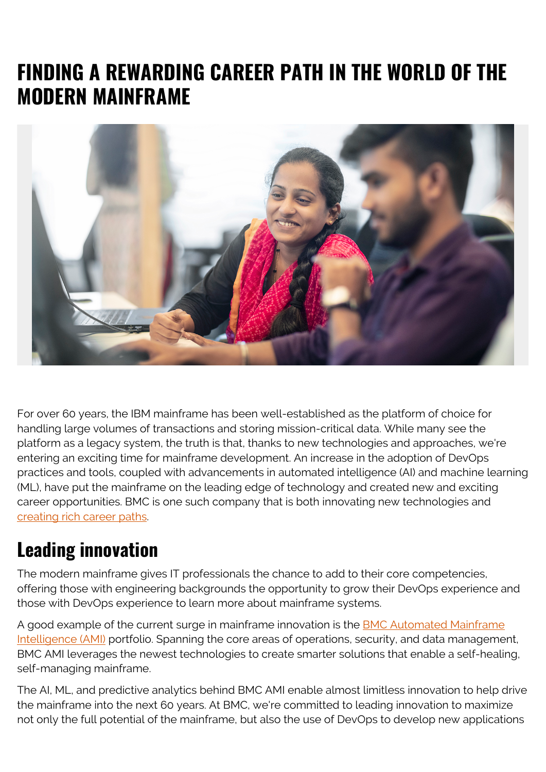## **FINDING A REWARDING CAREER PATH IN THE WORLD OF THE MODERN MAINFRAME**



For over 60 years, the IBM mainframe has been well-established as the platform of choice for handling large volumes of transactions and storing mission-critical data. While many see the platform as a legacy system, the truth is that, thanks to new technologies and approaches, we're entering an exciting time for mainframe development. An increase in the adoption of DevOps practices and tools, coupled with advancements in automated intelligence (AI) and machine learning (ML), have put the mainframe on the leading edge of technology and created new and exciting career opportunities. BMC is one such company that is both innovating new technologies and [creating rich career paths](https://jobs.bmc.com/).

## **Leading innovation**

The modern mainframe gives IT professionals the chance to add to their core competencies, offering those with engineering backgrounds the opportunity to grow their DevOps experience and those with DevOps experience to learn more about mainframe systems.

A good example of the current surge in mainframe innovation is the [BMC Automated Mainframe](https://blogs.bmc.com/ami) [Intelligence \(AMI\)](https://blogs.bmc.com/ami) portfolio. Spanning the core areas of operations, security, and data management, BMC AMI leverages the newest technologies to create smarter solutions that enable a self-healing, self-managing mainframe.

The AI, ML, and predictive analytics behind BMC AMI enable almost limitless innovation to help drive the mainframe into the next 60 years. At BMC, we're committed to leading innovation to maximize not only the full potential of the mainframe, but also the use of DevOps to develop new applications